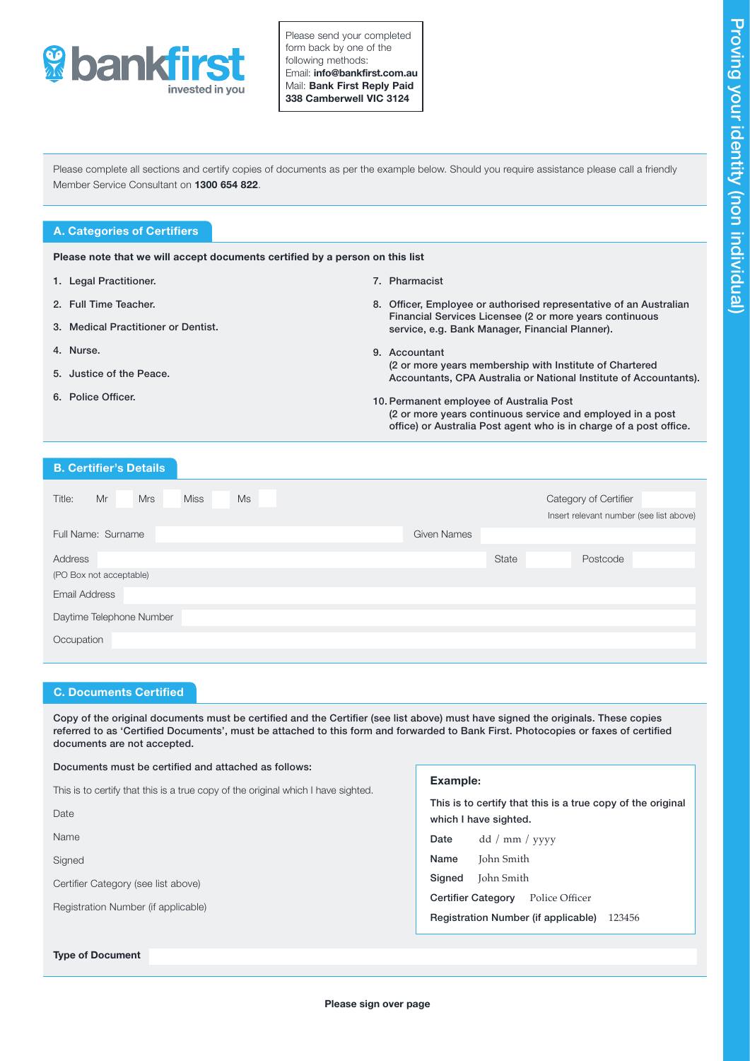

Please send your completed form back by one of the following methods: Email: info@bankfirst.com.au Mail: Bank First Reply Paid 338 Camberwell VIC 3124

Please complete all sections and certify copies of documents as per the example below. Should you require assistance please call a friendly Member Service Consultant on 1300 654 822.

# A. Categories of Certifiers

Please note that we will accept documents certified by a person on this list

- 1. Legal Practitioner.
- 2. Full Time Teacher.
- 3. Medical Practitioner or Dentist.
- 4. Nurse.
- 5. Justice of the Peace.
- 6. Police Officer.

## 7. Pharmacist

- 8. Officer, Employee or authorised representative of an Australian Financial Services Licensee (2 or more years continuous service, e.g. Bank Manager, Financial Planner).
- 9. Accountant (2 or more years membership with Institute of Chartered Accountants, CPA Australia or National Institute of Accountants).
- 10. Permanent employee of Australia Post (2 or more years continuous service and employed in a post office) or Australia Post agent who is in charge of a post office.

# B. Certifier's Details

| <b>Miss</b><br>Title:<br>Mr<br><b>Mrs</b><br><b>Ms</b> |                    |       | Category of Certifier                   |
|--------------------------------------------------------|--------------------|-------|-----------------------------------------|
|                                                        |                    |       | Insert relevant number (see list above) |
| Full Name: Surname                                     | <b>Given Names</b> |       |                                         |
|                                                        |                    |       |                                         |
| Address                                                |                    | State | Postcode                                |
| (PO Box not acceptable)                                |                    |       |                                         |
| <b>Email Address</b>                                   |                    |       |                                         |
| Daytime Telephone Number                               |                    |       |                                         |
| Occupation                                             |                    |       |                                         |
|                                                        |                    |       |                                         |

### C. Documents Certified

Copy of the original documents must be certified and the Certifier (see list above) must have signed the originals. These copies referred to as 'Certified Documents', must be attached to this form and forwarded to Bank First. Photocopies or faxes of certified documents are not accepted.

#### Documents must be certified and attached as follows:

This is to certify that this is a true copy of the original which I have sighted.

**Date** 

Name

Signed

Certifier Category (see list above)

Registration Number (if applicable)

#### Type of Document

# Example:

This is to certify that this is a true copy of the original which I have sighted.

Date dd / mm / yyyy

Name John Smith

Signed John Smith

Certifier Category Police Officer

Registration Number (if applicable) 123456